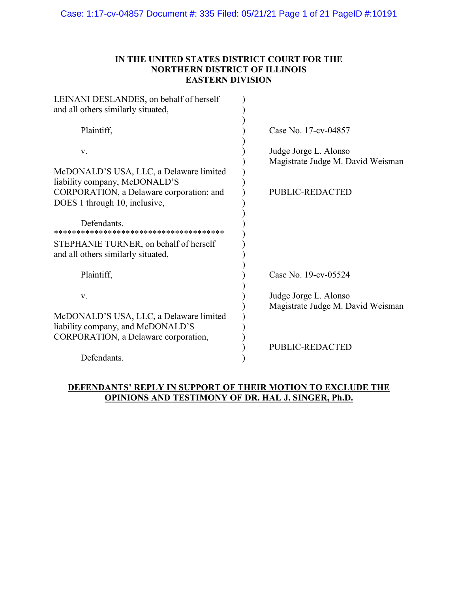## **IN THE UNITED STATES DISTRICT COURT FOR THE NORTHERN DISTRICT OF ILLINOIS EASTERN DIVISION**

| LEINANI DESLANDES, on behalf of herself<br>and all others similarly situated, |                                                            |
|-------------------------------------------------------------------------------|------------------------------------------------------------|
| Plaintiff,                                                                    | Case No. 17-cv-04857                                       |
| V.                                                                            | Judge Jorge L. Alonso<br>Magistrate Judge M. David Weisman |
| McDONALD'S USA, LLC, a Delaware limited<br>liability company, McDONALD'S      |                                                            |
| CORPORATION, a Delaware corporation; and<br>DOES 1 through 10, inclusive,     | <b>PUBLIC-REDACTED</b>                                     |
| Defendants.                                                                   |                                                            |
| STEPHANIE TURNER, on behalf of herself<br>and all others similarly situated,  |                                                            |
| Plaintiff,                                                                    | Case No. 19-cv-05524                                       |
| V.                                                                            | Judge Jorge L. Alonso<br>Magistrate Judge M. David Weisman |
| McDONALD'S USA, LLC, a Delaware limited<br>liability company, and McDONALD'S  |                                                            |
| CORPORATION, a Delaware corporation,                                          | <b>PUBLIC-REDACTED</b>                                     |
| Defendants.                                                                   |                                                            |

## **DEFENDANTS' REPLY IN SUPPORT OF THEIR MOTION TO EXCLUDE THE OPINIONS AND TESTIMONY OF DR. HAL J. SINGER, Ph.D.**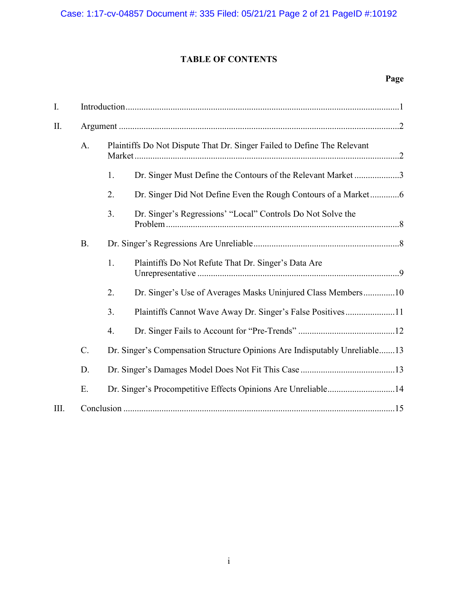# **TABLE OF CONTENTS**

| I.   |           |                                                                         |                                                                            |  |
|------|-----------|-------------------------------------------------------------------------|----------------------------------------------------------------------------|--|
| Π.   |           |                                                                         |                                                                            |  |
|      | A.        | Plaintiffs Do Not Dispute That Dr. Singer Failed to Define The Relevant |                                                                            |  |
|      |           | 1.                                                                      | Dr. Singer Must Define the Contours of the Relevant Market 3               |  |
|      |           | 2.                                                                      |                                                                            |  |
|      |           | 3.                                                                      | Dr. Singer's Regressions' "Local" Controls Do Not Solve the                |  |
|      | <b>B.</b> |                                                                         |                                                                            |  |
|      |           | 1.                                                                      | Plaintiffs Do Not Refute That Dr. Singer's Data Are                        |  |
|      |           | 2.                                                                      | Dr. Singer's Use of Averages Masks Uninjured Class Members10               |  |
|      |           | 3.                                                                      | Plaintiffs Cannot Wave Away Dr. Singer's False Positives11                 |  |
|      |           | 4.                                                                      |                                                                            |  |
|      | C.        |                                                                         | Dr. Singer's Compensation Structure Opinions Are Indisputably Unreliable13 |  |
|      | D.        |                                                                         |                                                                            |  |
|      | E.        |                                                                         | Dr. Singer's Procompetitive Effects Opinions Are Unreliable14              |  |
| III. |           |                                                                         |                                                                            |  |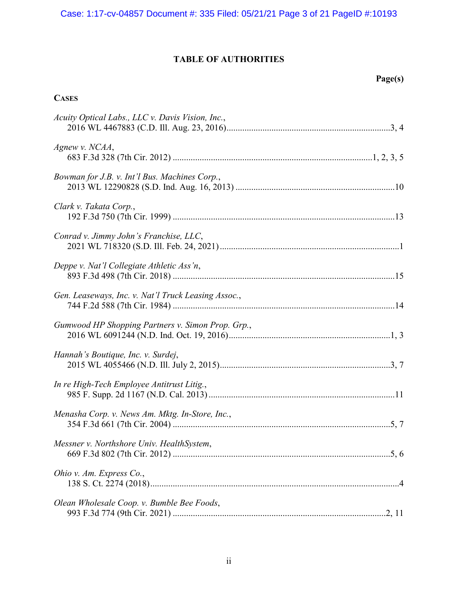# **TABLE OF AUTHORITIES**

## **Page(s)**

# **CASES**

| Acuity Optical Labs., LLC v. Davis Vision, Inc.,    |
|-----------------------------------------------------|
| Agnew v. NCAA,                                      |
| Bowman for J.B. v. Int'l Bus. Machines Corp.,       |
| Clark v. Takata Corp.,                              |
| Conrad v. Jimmy John's Franchise, LLC,              |
| Deppe v. Nat'l Collegiate Athletic Ass'n,           |
| Gen. Leaseways, Inc. v. Nat'l Truck Leasing Assoc., |
| Gumwood HP Shopping Partners v. Simon Prop. Grp.,   |
| Hannah's Boutique, Inc. v. Surdej,                  |
| In re High-Tech Employee Antitrust Litig.,          |
| Menasha Corp. v. News Am. Mktg. In-Store, Inc.,     |
| Messner v. Northshore Univ. HealthSystem,           |
| Ohio v. Am. Express Co.,                            |
| Olean Wholesale Coop. v. Bumble Bee Foods,          |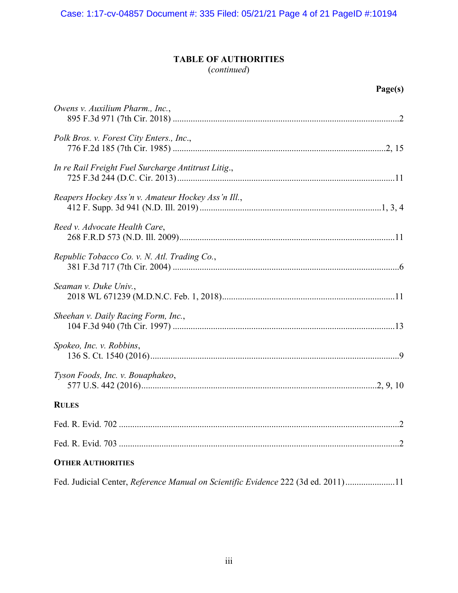# **TABLE OF AUTHORITIES**

| (continued) |  |
|-------------|--|
|             |  |

| u<br>.,<br>. .<br>ш |  |
|---------------------|--|
|---------------------|--|

| Owens v. Auxilium Pharm., Inc.,                                                   |
|-----------------------------------------------------------------------------------|
| Polk Bros. v. Forest City Enters., Inc.,                                          |
| In re Rail Freight Fuel Surcharge Antitrust Litig.,                               |
| Reapers Hockey Ass'n v. Amateur Hockey Ass'n Ill.,                                |
| Reed v. Advocate Health Care,                                                     |
| Republic Tobacco Co. v. N. Atl. Trading Co.,                                      |
| Seaman v. Duke Univ.,                                                             |
| Sheehan v. Daily Racing Form, Inc.,                                               |
| Spokeo, Inc. v. Robbins,                                                          |
| Tyson Foods, Inc. v. Bouaphakeo,                                                  |
| <b>RULES</b>                                                                      |
|                                                                                   |
|                                                                                   |
| <b>OTHER AUTHORITIES</b>                                                          |
| Fed. Judicial Center, Reference Manual on Scientific Evidence 222 (3d ed. 2011)11 |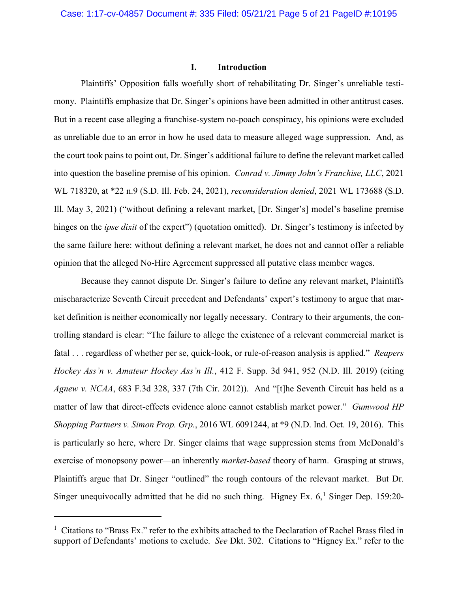### **I. Introduction**

Plaintiffs' Opposition falls woefully short of rehabilitating Dr. Singer's unreliable testimony. Plaintiffs emphasize that Dr. Singer's opinions have been admitted in other antitrust cases. But in a recent case alleging a franchise-system no-poach conspiracy, his opinions were excluded as unreliable due to an error in how he used data to measure alleged wage suppression. And, as the court took pains to point out, Dr. Singer's additional failure to define the relevant market called into question the baseline premise of his opinion. *Conrad v. Jimmy John's Franchise, LLC*, 2021 WL 718320, at \*22 n.9 (S.D. Ill. Feb. 24, 2021), *reconsideration denied*, 2021 WL 173688 (S.D. Ill. May 3, 2021) ("without defining a relevant market, [Dr. Singer's] model's baseline premise hinges on the *ipse dixit* of the expert") (quotation omitted). Dr. Singer's testimony is infected by the same failure here: without defining a relevant market, he does not and cannot offer a reliable opinion that the alleged No-Hire Agreement suppressed all putative class member wages.

Because they cannot dispute Dr. Singer's failure to define any relevant market, Plaintiffs mischaracterize Seventh Circuit precedent and Defendants' expert's testimony to argue that market definition is neither economically nor legally necessary. Contrary to their arguments, the controlling standard is clear: "The failure to allege the existence of a relevant commercial market is fatal . . . regardless of whether per se, quick-look, or rule-of-reason analysis is applied." *Reapers Hockey Ass'n v. Amateur Hockey Ass'n Ill.*, 412 F. Supp. 3d 941, 952 (N.D. Ill. 2019) (citing *Agnew v. NCAA*, 683 F.3d 328, 337 (7th Cir. 2012)). And "[t]he Seventh Circuit has held as a matter of law that direct-effects evidence alone cannot establish market power." *Gumwood HP Shopping Partners v. Simon Prop. Grp.*, 2016 WL 6091244, at \*9 (N.D. Ind. Oct. 19, 2016). This is particularly so here, where Dr. Singer claims that wage suppression stems from McDonald's exercise of monopsony power—an inherently *market-based* theory of harm. Grasping at straws, Plaintiffs argue that Dr. Singer "outlined" the rough contours of the relevant market. But Dr. Singer unequivocally admitted that he did no such thing. Higney Ex.  $6<sup>1</sup>$  Singer Dep. 159:20-

 $\overline{a}$ 

<sup>&</sup>lt;sup>1</sup> Citations to "Brass Ex." refer to the exhibits attached to the Declaration of Rachel Brass filed in support of Defendants' motions to exclude. *See* Dkt. 302. Citations to "Higney Ex." refer to the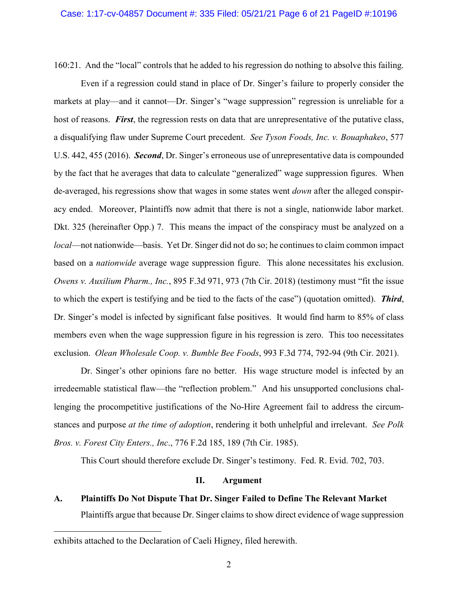160:21. And the "local" controls that he added to his regression do nothing to absolve this failing.

Even if a regression could stand in place of Dr. Singer's failure to properly consider the markets at play—and it cannot—Dr. Singer's "wage suppression" regression is unreliable for a host of reasons. *First*, the regression rests on data that are unrepresentative of the putative class, a disqualifying flaw under Supreme Court precedent. *See Tyson Foods, Inc. v. Bouaphakeo*, 577 U.S. 442, 455 (2016). *Second*, Dr. Singer's erroneous use of unrepresentative data is compounded by the fact that he averages that data to calculate "generalized" wage suppression figures. When de-averaged, his regressions show that wages in some states went *down* after the alleged conspiracy ended. Moreover, Plaintiffs now admit that there is not a single, nationwide labor market. Dkt. 325 (hereinafter Opp.) 7. This means the impact of the conspiracy must be analyzed on a *local*—not nationwide—basis. Yet Dr. Singer did not do so; he continues to claim common impact based on a *nationwide* average wage suppression figure. This alone necessitates his exclusion. *Owens v. Auxilium Pharm., Inc.*, 895 F.3d 971, 973 (7th Cir. 2018) (testimony must "fit the issue to which the expert is testifying and be tied to the facts of the case") (quotation omitted). *Third*, Dr. Singer's model is infected by significant false positives. It would find harm to 85% of class members even when the wage suppression figure in his regression is zero. This too necessitates exclusion. *Olean Wholesale Coop. v. Bumble Bee Foods*, 993 F.3d 774, 792-94 (9th Cir. 2021).

Dr. Singer's other opinions fare no better. His wage structure model is infected by an irredeemable statistical flaw—the "reflection problem." And his unsupported conclusions challenging the procompetitive justifications of the No-Hire Agreement fail to address the circumstances and purpose *at the time of adoption*, rendering it both unhelpful and irrelevant. *See Polk Bros. v. Forest City Enters., Inc*., 776 F.2d 185, 189 (7th Cir. 1985).

This Court should therefore exclude Dr. Singer's testimony. Fed. R. Evid. 702, 703.

## **II. Argument**

**A. Plaintiffs Do Not Dispute That Dr. Singer Failed to Define The Relevant Market**  Plaintiffs argue that because Dr. Singer claims to show direct evidence of wage suppression

 $\overline{a}$ 

exhibits attached to the Declaration of Caeli Higney, filed herewith.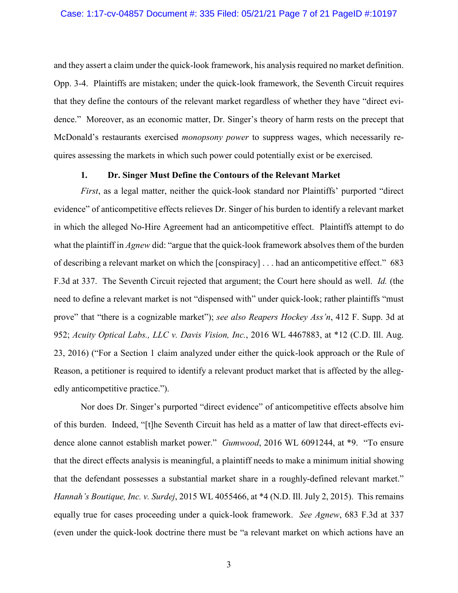and they assert a claim under the quick-look framework, his analysis required no market definition. Opp. 3-4. Plaintiffs are mistaken; under the quick-look framework, the Seventh Circuit requires that they define the contours of the relevant market regardless of whether they have "direct evidence." Moreover, as an economic matter, Dr. Singer's theory of harm rests on the precept that McDonald's restaurants exercised *monopsony power* to suppress wages, which necessarily requires assessing the markets in which such power could potentially exist or be exercised.

#### **1. Dr. Singer Must Define the Contours of the Relevant Market**

*First*, as a legal matter, neither the quick-look standard nor Plaintiffs' purported "direct evidence" of anticompetitive effects relieves Dr. Singer of his burden to identify a relevant market in which the alleged No-Hire Agreement had an anticompetitive effect. Plaintiffs attempt to do what the plaintiff in *Agnew* did: "argue that the quick-look framework absolves them of the burden of describing a relevant market on which the [conspiracy] . . . had an anticompetitive effect." 683 F.3d at 337. The Seventh Circuit rejected that argument; the Court here should as well. *Id.* (the need to define a relevant market is not "dispensed with" under quick-look; rather plaintiffs "must prove" that "there is a cognizable market"); *see also Reapers Hockey Ass'n*, 412 F. Supp. 3d at 952; *Acuity Optical Labs., LLC v. Davis Vision, Inc.*, 2016 WL 4467883, at \*12 (C.D. Ill. Aug. 23, 2016) ("For a Section 1 claim analyzed under either the quick-look approach or the Rule of Reason, a petitioner is required to identify a relevant product market that is affected by the allegedly anticompetitive practice.").

Nor does Dr. Singer's purported "direct evidence" of anticompetitive effects absolve him of this burden. Indeed, "[t]he Seventh Circuit has held as a matter of law that direct-effects evidence alone cannot establish market power." *Gumwood*, 2016 WL 6091244, at \*9. "To ensure that the direct effects analysis is meaningful, a plaintiff needs to make a minimum initial showing that the defendant possesses a substantial market share in a roughly-defined relevant market." *Hannah's Boutique, Inc. v. Surdej*, 2015 WL 4055466, at \*4 (N.D. Ill. July 2, 2015). This remains equally true for cases proceeding under a quick-look framework. *See Agnew*, 683 F.3d at 337 (even under the quick-look doctrine there must be "a relevant market on which actions have an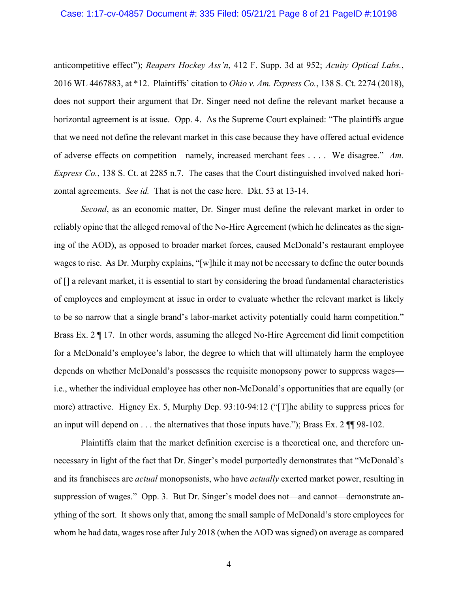#### Case: 1:17-cv-04857 Document #: 335 Filed: 05/21/21 Page 8 of 21 PageID #:10198

anticompetitive effect"); *Reapers Hockey Ass'n*, 412 F. Supp. 3d at 952; *Acuity Optical Labs.*, 2016 WL 4467883, at \*12. Plaintiffs' citation to *Ohio v. Am. Express Co.*, 138 S. Ct. 2274 (2018), does not support their argument that Dr. Singer need not define the relevant market because a horizontal agreement is at issue. Opp. 4. As the Supreme Court explained: "The plaintiffs argue that we need not define the relevant market in this case because they have offered actual evidence of adverse effects on competition—namely, increased merchant fees . . . . We disagree." *Am. Express Co.*, 138 S. Ct. at 2285 n.7. The cases that the Court distinguished involved naked horizontal agreements. *See id.* That is not the case here. Dkt. 53 at 13-14.

*Second*, as an economic matter, Dr. Singer must define the relevant market in order to reliably opine that the alleged removal of the No-Hire Agreement (which he delineates as the signing of the AOD), as opposed to broader market forces, caused McDonald's restaurant employee wages to rise. As Dr. Murphy explains, "[w]hile it may not be necessary to define the outer bounds of [] a relevant market, it is essential to start by considering the broad fundamental characteristics of employees and employment at issue in order to evaluate whether the relevant market is likely to be so narrow that a single brand's labor-market activity potentially could harm competition." Brass Ex. 2 ¶ 17. In other words, assuming the alleged No-Hire Agreement did limit competition for a McDonald's employee's labor, the degree to which that will ultimately harm the employee depends on whether McDonald's possesses the requisite monopsony power to suppress wages i.e., whether the individual employee has other non-McDonald's opportunities that are equally (or more) attractive. Higney Ex. 5, Murphy Dep. 93:10-94:12 ("[T]he ability to suppress prices for an input will depend on  $\dots$  the alternatives that those inputs have."); Brass Ex. 2  $\P$  98-102.

Plaintiffs claim that the market definition exercise is a theoretical one, and therefore unnecessary in light of the fact that Dr. Singer's model purportedly demonstrates that "McDonald's and its franchisees are *actual* monopsonists, who have *actually* exerted market power, resulting in suppression of wages." Opp. 3. But Dr. Singer's model does not—and cannot—demonstrate anything of the sort. It shows only that, among the small sample of McDonald's store employees for whom he had data, wages rose after July 2018 (when the AOD was signed) on average as compared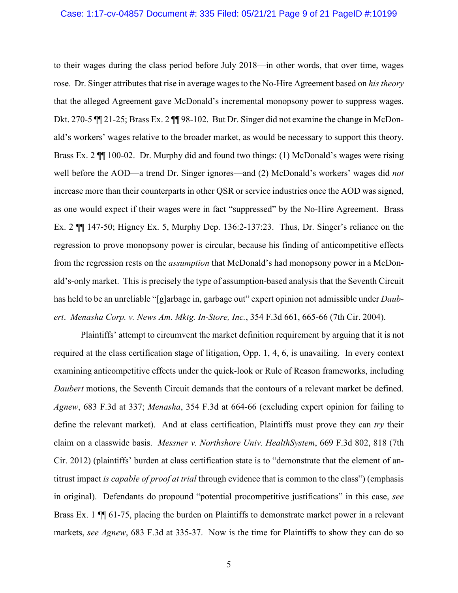## Case: 1:17-cv-04857 Document #: 335 Filed: 05/21/21 Page 9 of 21 PageID #:10199

to their wages during the class period before July 2018—in other words, that over time, wages rose. Dr. Singer attributes that rise in average wages to the No-Hire Agreement based on *his theory*  that the alleged Agreement gave McDonald's incremental monopsony power to suppress wages. Dkt. 270-5 ¶¶ 21-25; Brass Ex. 2 ¶¶ 98-102. But Dr. Singer did not examine the change in McDonald's workers' wages relative to the broader market, as would be necessary to support this theory. Brass Ex. 2 ¶¶ 100-02. Dr. Murphy did and found two things: (1) McDonald's wages were rising well before the AOD—a trend Dr. Singer ignores—and (2) McDonald's workers' wages did *not*  increase more than their counterparts in other QSR or service industries once the AOD was signed, as one would expect if their wages were in fact "suppressed" by the No-Hire Agreement. Brass Ex. 2 ¶¶ 147-50; Higney Ex. 5, Murphy Dep. 136:2-137:23. Thus, Dr. Singer's reliance on the regression to prove monopsony power is circular, because his finding of anticompetitive effects from the regression rests on the *assumption* that McDonald's had monopsony power in a McDonald's-only market. This is precisely the type of assumption-based analysis that the Seventh Circuit has held to be an unreliable "[g]arbage in, garbage out" expert opinion not admissible under *Daubert*. *Menasha Corp. v. News Am. Mktg. In-Store, Inc.*, 354 F.3d 661, 665-66 (7th Cir. 2004).

Plaintiffs' attempt to circumvent the market definition requirement by arguing that it is not required at the class certification stage of litigation, Opp. 1, 4, 6, is unavailing. In every context examining anticompetitive effects under the quick-look or Rule of Reason frameworks, including *Daubert* motions, the Seventh Circuit demands that the contours of a relevant market be defined. *Agnew*, 683 F.3d at 337; *Menasha*, 354 F.3d at 664-66 (excluding expert opinion for failing to define the relevant market). And at class certification, Plaintiffs must prove they can *try* their claim on a classwide basis. *Messner v. Northshore Univ. HealthSystem*, 669 F.3d 802, 818 (7th Cir. 2012) (plaintiffs' burden at class certification state is to "demonstrate that the element of antitrust impact *is capable of proof at trial* through evidence that is common to the class") (emphasis in original). Defendants do propound "potential procompetitive justifications" in this case, *see* Brass Ex. 1  $\mathbb{I}$  61-75, placing the burden on Plaintiffs to demonstrate market power in a relevant markets, *see Agnew*, 683 F.3d at 335-37. Now is the time for Plaintiffs to show they can do so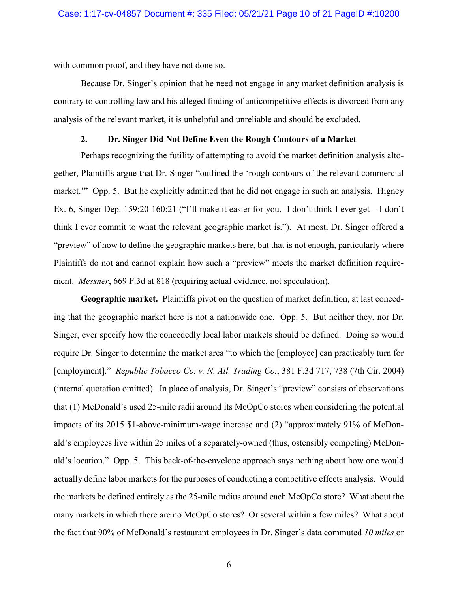with common proof, and they have not done so.

Because Dr. Singer's opinion that he need not engage in any market definition analysis is contrary to controlling law and his alleged finding of anticompetitive effects is divorced from any analysis of the relevant market, it is unhelpful and unreliable and should be excluded.

#### **2. Dr. Singer Did Not Define Even the Rough Contours of a Market**

Perhaps recognizing the futility of attempting to avoid the market definition analysis altogether, Plaintiffs argue that Dr. Singer "outlined the 'rough contours of the relevant commercial market." Opp. 5. But he explicitly admitted that he did not engage in such an analysis. Higney Ex. 6, Singer Dep. 159:20-160:21 ("I'll make it easier for you. I don't think I ever get – I don't think I ever commit to what the relevant geographic market is."). At most, Dr. Singer offered a "preview" of how to define the geographic markets here, but that is not enough, particularly where Plaintiffs do not and cannot explain how such a "preview" meets the market definition requirement. *Messner*, 669 F.3d at 818 (requiring actual evidence, not speculation).

**Geographic market.** Plaintiffs pivot on the question of market definition, at last conceding that the geographic market here is not a nationwide one. Opp. 5. But neither they, nor Dr. Singer, ever specify how the concededly local labor markets should be defined. Doing so would require Dr. Singer to determine the market area "to which the [employee] can practicably turn for [employment]." *Republic Tobacco Co. v. N. Atl. Trading Co.*, 381 F.3d 717, 738 (7th Cir. 2004) (internal quotation omitted). In place of analysis, Dr. Singer's "preview" consists of observations that (1) McDonald's used 25-mile radii around its McOpCo stores when considering the potential impacts of its 2015 \$1-above-minimum-wage increase and (2) "approximately 91% of McDonald's employees live within 25 miles of a separately-owned (thus, ostensibly competing) McDonald's location." Opp. 5. This back-of-the-envelope approach says nothing about how one would actually define labor markets for the purposes of conducting a competitive effects analysis. Would the markets be defined entirely as the 25-mile radius around each McOpCo store? What about the many markets in which there are no McOpCo stores? Or several within a few miles? What about the fact that 90% of McDonald's restaurant employees in Dr. Singer's data commuted *10 miles* or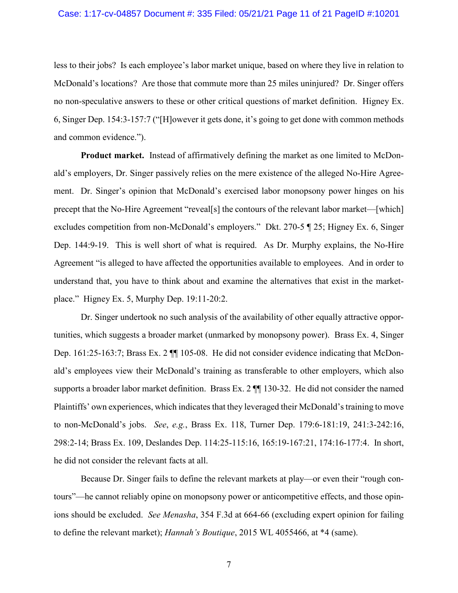#### Case: 1:17-cv-04857 Document #: 335 Filed: 05/21/21 Page 11 of 21 PageID #:10201

less to their jobs? Is each employee's labor market unique, based on where they live in relation to McDonald's locations? Are those that commute more than 25 miles uninjured? Dr. Singer offers no non-speculative answers to these or other critical questions of market definition. Higney Ex. 6, Singer Dep. 154:3-157:7 ("[H]owever it gets done, it's going to get done with common methods and common evidence.").

**Product market.** Instead of affirmatively defining the market as one limited to McDonald's employers, Dr. Singer passively relies on the mere existence of the alleged No-Hire Agreement. Dr. Singer's opinion that McDonald's exercised labor monopsony power hinges on his precept that the No-Hire Agreement "reveal[s] the contours of the relevant labor market—[which] excludes competition from non-McDonald's employers." Dkt. 270-5 ¶ 25; Higney Ex. 6, Singer Dep. 144:9-19. This is well short of what is required. As Dr. Murphy explains, the No-Hire Agreement "is alleged to have affected the opportunities available to employees. And in order to understand that, you have to think about and examine the alternatives that exist in the marketplace." Higney Ex. 5, Murphy Dep. 19:11-20:2.

Dr. Singer undertook no such analysis of the availability of other equally attractive opportunities, which suggests a broader market (unmarked by monopsony power). Brass Ex. 4, Singer Dep. 161:25-163:7; Brass Ex. 2 ¶¶ 105-08. He did not consider evidence indicating that McDonald's employees view their McDonald's training as transferable to other employers, which also supports a broader labor market definition. Brass Ex. 2 ¶¶ 130-32. He did not consider the named Plaintiffs' own experiences, which indicates that they leveraged their McDonald's training to move to non-McDonald's jobs. *See*, *e.g.*, Brass Ex. 118, Turner Dep. 179:6-181:19, 241:3-242:16, 298:2-14; Brass Ex. 109, Deslandes Dep. 114:25-115:16, 165:19-167:21, 174:16-177:4. In short, he did not consider the relevant facts at all.

Because Dr. Singer fails to define the relevant markets at play—or even their "rough contours"—he cannot reliably opine on monopsony power or anticompetitive effects, and those opinions should be excluded. *See Menasha*, 354 F.3d at 664-66 (excluding expert opinion for failing to define the relevant market); *Hannah's Boutique*, 2015 WL 4055466, at \*4 (same).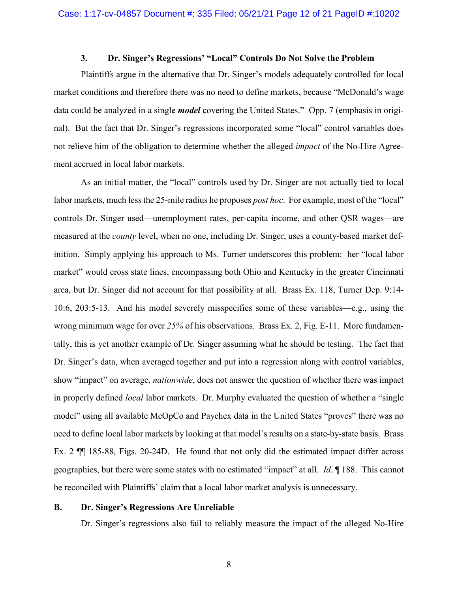#### **3. Dr. Singer's Regressions' "Local" Controls Do Not Solve the Problem**

Plaintiffs argue in the alternative that Dr. Singer's models adequately controlled for local market conditions and therefore there was no need to define markets, because "McDonald's wage data could be analyzed in a single *model* covering the United States." Opp. 7 (emphasis in original). But the fact that Dr. Singer's regressions incorporated some "local" control variables does not relieve him of the obligation to determine whether the alleged *impact* of the No-Hire Agreement accrued in local labor markets.

As an initial matter, the "local" controls used by Dr. Singer are not actually tied to local labor markets, much less the 25-mile radius he proposes *post hoc*. For example, most of the "local" controls Dr. Singer used—unemployment rates, per-capita income, and other QSR wages—are measured at the *county* level, when no one, including Dr. Singer, uses a county-based market definition. Simply applying his approach to Ms. Turner underscores this problem: her "local labor market" would cross state lines, encompassing both Ohio and Kentucky in the greater Cincinnati area, but Dr. Singer did not account for that possibility at all. Brass Ex. 118, Turner Dep. 9:14- 10:6, 203:5-13. And his model severely misspecifies some of these variables—e.g., using the wrong minimum wage for over *25%* of his observations. Brass Ex. 2, Fig. E-11. More fundamentally, this is yet another example of Dr. Singer assuming what he should be testing. The fact that Dr. Singer's data, when averaged together and put into a regression along with control variables, show "impact" on average, *nationwide*, does not answer the question of whether there was impact in properly defined *local* labor markets. Dr. Murphy evaluated the question of whether a "single model" using all available McOpCo and Paychex data in the United States "proves" there was no need to define local labor markets by looking at that model's results on a state-by-state basis. Brass Ex. 2 ¶¶ 185-88, Figs. 20-24D. He found that not only did the estimated impact differ across geographies, but there were some states with no estimated "impact" at all. *Id*. ¶ 188. This cannot be reconciled with Plaintiffs' claim that a local labor market analysis is unnecessary.

## **B. Dr. Singer's Regressions Are Unreliable**

Dr. Singer's regressions also fail to reliably measure the impact of the alleged No-Hire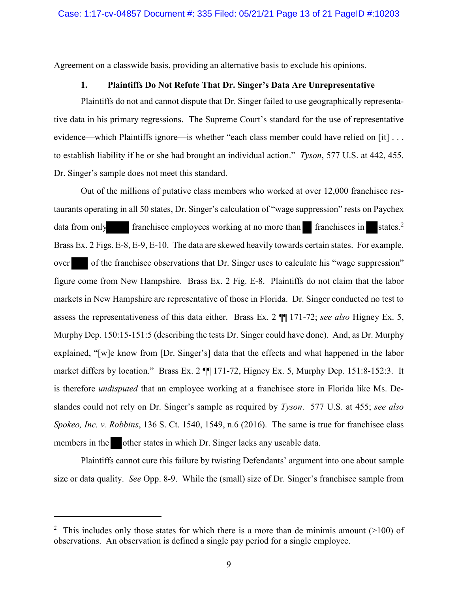Agreement on a classwide basis, providing an alternative basis to exclude his opinions.

#### **1. Plaintiffs Do Not Refute That Dr. Singer's Data Are Unrepresentative**

Plaintiffs do not and cannot dispute that Dr. Singer failed to use geographically representative data in his primary regressions. The Supreme Court's standard for the use of representative evidence—which Plaintiffs ignore—is whether "each class member could have relied on [it] ... to establish liability if he or she had brought an individual action." *Tyson*, 577 U.S. at 442, 455. Dr. Singer's sample does not meet this standard.

Out of the millions of putative class members who worked at over 12,000 franchisee restaurants operating in all 50 states, Dr. Singer's calculation of "wage suppression" rests on Paychex data from only franchisee employees working at no more than franchisees in states.<sup>2</sup> Brass Ex. 2 Figs. E-8, E-9, E-10. The data are skewed heavily towards certain states. For example, over of the franchisee observations that Dr. Singer uses to calculate his "wage suppression" figure come from New Hampshire. Brass Ex. 2 Fig. E-8. Plaintiffs do not claim that the labor markets in New Hampshire are representative of those in Florida. Dr. Singer conducted no test to assess the representativeness of this data either. Brass Ex. 2 ¶¶ 171-72; *see also* Higney Ex. 5, Murphy Dep. 150:15-151:5 (describing the tests Dr. Singer could have done). And, as Dr. Murphy explained, "[w]e know from [Dr. Singer's] data that the effects and what happened in the labor market differs by location." Brass Ex. 2 ¶¶ 171-72, Higney Ex. 5, Murphy Dep. 151:8-152:3. It is therefore *undisputed* that an employee working at a franchisee store in Florida like Ms. Deslandes could not rely on Dr. Singer's sample as required by *Tyson*. 577 U.S. at 455; *see also Spokeo, Inc. v. Robbins*, 136 S. Ct. 1540, 1549, n.6 (2016). The same is true for franchisee class members in the other states in which Dr. Singer lacks any useable data.

Plaintiffs cannot cure this failure by twisting Defendants' argument into one about sample size or data quality. *See* Opp. 8-9. While the (small) size of Dr. Singer's franchisee sample from

 $\overline{a}$ 

<sup>&</sup>lt;sup>2</sup> This includes only those states for which there is a more than de minimis amount  $(>100)$  of observations. An observation is defined a single pay period for a single employee.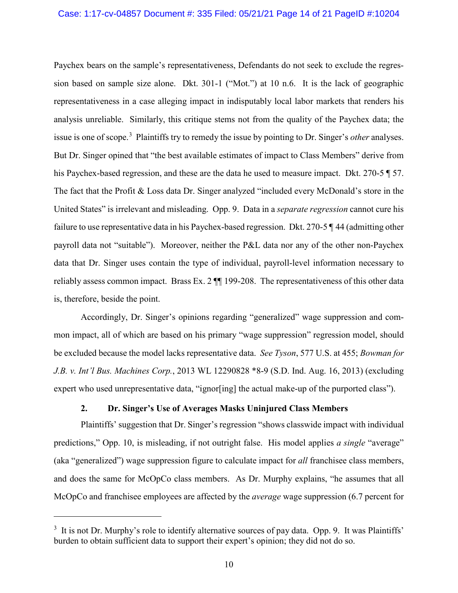Paychex bears on the sample's representativeness, Defendants do not seek to exclude the regression based on sample size alone. Dkt. 301-1 ("Mot.") at 10 n.6. It is the lack of geographic representativeness in a case alleging impact in indisputably local labor markets that renders his analysis unreliable. Similarly, this critique stems not from the quality of the Paychex data; the issue is one of scope. 3 Plaintiffs try to remedy the issue by pointing to Dr. Singer's *other* analyses. But Dr. Singer opined that "the best available estimates of impact to Class Members" derive from his Paychex-based regression, and these are the data he used to measure impact. Dkt. 270-5  $\sqrt{ }$  57. The fact that the Profit & Loss data Dr. Singer analyzed "included every McDonald's store in the United States" is irrelevant and misleading. Opp. 9. Data in a *separate regression* cannot cure his failure to use representative data in his Paychex-based regression. Dkt. 270-5 ¶ 44 (admitting other payroll data not "suitable"). Moreover, neither the P&L data nor any of the other non-Paychex data that Dr. Singer uses contain the type of individual, payroll-level information necessary to reliably assess common impact. Brass Ex. 2 ¶¶ 199-208. The representativeness of this other data is, therefore, beside the point.

Accordingly, Dr. Singer's opinions regarding "generalized" wage suppression and common impact, all of which are based on his primary "wage suppression" regression model, should be excluded because the model lacks representative data. *See Tyson*, 577 U.S. at 455; *Bowman for J.B. v. Int'l Bus. Machines Corp.*, 2013 WL 12290828 \*8-9 (S.D. Ind. Aug. 16, 2013) (excluding expert who used unrepresentative data, "ignor [ing] the actual make-up of the purported class").

## **2. Dr. Singer's Use of Averages Masks Uninjured Class Members**

Plaintiffs' suggestion that Dr. Singer's regression "shows classwide impact with individual predictions," Opp. 10, is misleading, if not outright false. His model applies *a single* "average" (aka "generalized") wage suppression figure to calculate impact for *all* franchisee class members, and does the same for McOpCo class members. As Dr. Murphy explains, "he assumes that all McOpCo and franchisee employees are affected by the *average* wage suppression (6.7 percent for

 $\overline{a}$ 

<sup>&</sup>lt;sup>3</sup> It is not Dr. Murphy's role to identify alternative sources of pay data. Opp. 9. It was Plaintiffs' burden to obtain sufficient data to support their expert's opinion; they did not do so.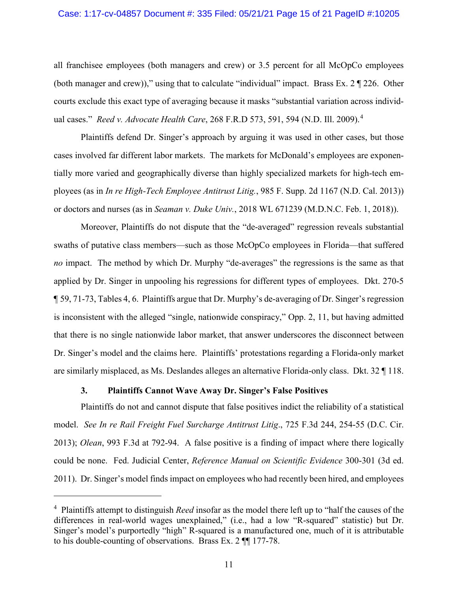#### Case: 1:17-cv-04857 Document #: 335 Filed: 05/21/21 Page 15 of 21 PageID #:10205

all franchisee employees (both managers and crew) or 3.5 percent for all McOpCo employees (both manager and crew))," using that to calculate "individual" impact. Brass Ex.  $2 \sqrt{\frac{226}{}}$ . Other courts exclude this exact type of averaging because it masks "substantial variation across individual cases." *Reed v. Advocate Health Care*, 268 F.R.D 573, 591, 594 (N.D. Ill. 2009).<sup>4</sup>

Plaintiffs defend Dr. Singer's approach by arguing it was used in other cases, but those cases involved far different labor markets. The markets for McDonald's employees are exponentially more varied and geographically diverse than highly specialized markets for high-tech employees (as in *In re High-Tech Employee Antitrust Litig.*, 985 F. Supp. 2d 1167 (N.D. Cal. 2013)) or doctors and nurses (as in *Seaman v. Duke Univ.*, 2018 WL 671239 (M.D.N.C. Feb. 1, 2018)).

Moreover, Plaintiffs do not dispute that the "de-averaged" regression reveals substantial swaths of putative class members—such as those McOpCo employees in Florida—that suffered *no* impact. The method by which Dr. Murphy "de-averages" the regressions is the same as that applied by Dr. Singer in unpooling his regressions for different types of employees. Dkt. 270-5 ¶ 59, 71-73, Tables 4, 6. Plaintiffs argue that Dr. Murphy's de-averaging of Dr. Singer's regression is inconsistent with the alleged "single, nationwide conspiracy," Opp. 2, 11, but having admitted that there is no single nationwide labor market, that answer underscores the disconnect between Dr. Singer's model and the claims here. Plaintiffs' protestations regarding a Florida-only market are similarly misplaced, as Ms. Deslandes alleges an alternative Florida-only class. Dkt. 32 ¶ 118.

### **3. Plaintiffs Cannot Wave Away Dr. Singer's False Positives**

 $\overline{a}$ 

Plaintiffs do not and cannot dispute that false positives indict the reliability of a statistical model. *See In re Rail Freight Fuel Surcharge Antitrust Litig*., 725 F.3d 244, 254-55 (D.C. Cir. 2013); *Olean*, 993 F.3d at 792-94. A false positive is a finding of impact where there logically could be none. Fed. Judicial Center, *Reference Manual on Scientific Evidence* 300-301 (3d ed. 2011). Dr. Singer's model finds impact on employees who had recently been hired, and employees

<sup>4</sup> Plaintiffs attempt to distinguish *Reed* insofar as the model there left up to "half the causes of the differences in real-world wages unexplained," (i.e., had a low "R-squared" statistic) but Dr. Singer's model's purportedly "high" R-squared is a manufactured one, much of it is attributable to his double-counting of observations. Brass Ex. 2 ¶¶ 177-78.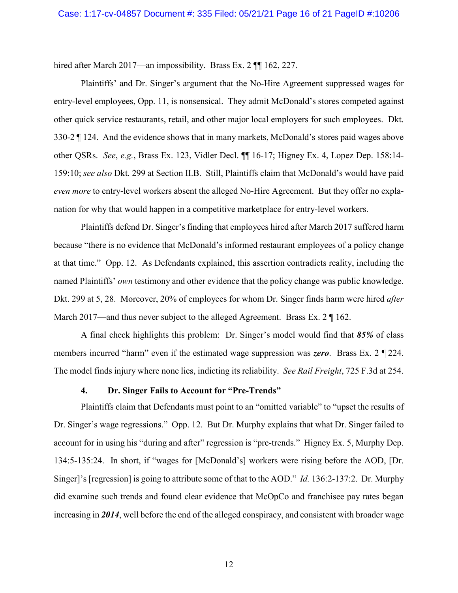hired after March 2017—an impossibility. Brass Ex. 2  $\P$  162, 227.

Plaintiffs' and Dr. Singer's argument that the No-Hire Agreement suppressed wages for entry-level employees, Opp. 11, is nonsensical. They admit McDonald's stores competed against other quick service restaurants, retail, and other major local employers for such employees. Dkt. 330-2 ¶ 124. And the evidence shows that in many markets, McDonald's stores paid wages above other QSRs. *See*, *e.g.*, Brass Ex. 123, Vidler Decl. ¶¶ 16-17; Higney Ex. 4, Lopez Dep. 158:14- 159:10; *see also* Dkt. 299 at Section II.B. Still, Plaintiffs claim that McDonald's would have paid *even more* to entry-level workers absent the alleged No-Hire Agreement. But they offer no explanation for why that would happen in a competitive marketplace for entry-level workers.

Plaintiffs defend Dr. Singer's finding that employees hired after March 2017 suffered harm because "there is no evidence that McDonald's informed restaurant employees of a policy change at that time." Opp. 12. As Defendants explained, this assertion contradicts reality, including the named Plaintiffs' *own* testimony and other evidence that the policy change was public knowledge. Dkt. 299 at 5, 28. Moreover, 20% of employees for whom Dr. Singer finds harm were hired *after*  March 2017—and thus never subject to the alleged Agreement. Brass Ex. 2  $\parallel$  162.

A final check highlights this problem: Dr. Singer's model would find that *85%* of class members incurred "harm" even if the estimated wage suppression was *zero*. Brass Ex. 2 ¶ 224. The model finds injury where none lies, indicting its reliability. *See Rail Freight*, 725 F.3d at 254.

#### **4. Dr. Singer Fails to Account for "Pre-Trends"**

Plaintiffs claim that Defendants must point to an "omitted variable" to "upset the results of Dr. Singer's wage regressions." Opp. 12. But Dr. Murphy explains that what Dr. Singer failed to account for in using his "during and after" regression is "pre-trends." Higney Ex. 5, Murphy Dep. 134:5-135:24. In short, if "wages for [McDonald's] workers were rising before the AOD, [Dr. Singer]'s [regression] is going to attribute some of that to the AOD." *Id.* 136:2-137:2. Dr. Murphy did examine such trends and found clear evidence that McOpCo and franchisee pay rates began increasing in *2014*, well before the end of the alleged conspiracy, and consistent with broader wage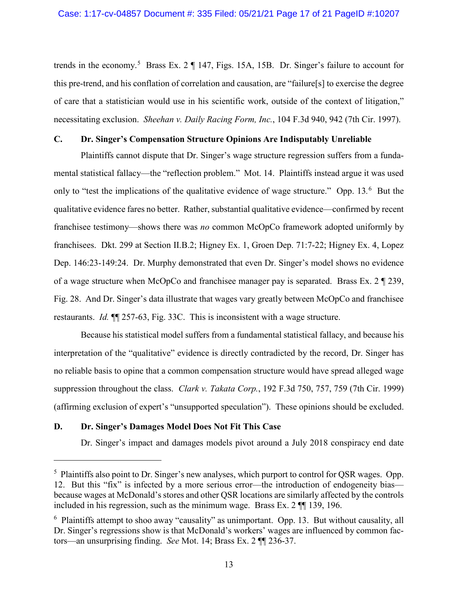trends in the economy.<sup>5</sup> Brass Ex. 2  $\P$  147, Figs. 15A, 15B. Dr. Singer's failure to account for this pre-trend, and his conflation of correlation and causation, are "failure[s] to exercise the degree of care that a statistician would use in his scientific work, outside of the context of litigation," necessitating exclusion. *Sheehan v. Daily Racing Form, Inc.*, 104 F.3d 940, 942 (7th Cir. 1997).

### **C. Dr. Singer's Compensation Structure Opinions Are Indisputably Unreliable**

Plaintiffs cannot dispute that Dr. Singer's wage structure regression suffers from a fundamental statistical fallacy—the "reflection problem." Mot. 14. Plaintiffs instead argue it was used only to "test the implications of the qualitative evidence of wage structure." Opp. 13.<sup>6</sup> But the qualitative evidence fares no better. Rather, substantial qualitative evidence—confirmed by recent franchisee testimony—shows there was *no* common McOpCo framework adopted uniformly by franchisees. Dkt. 299 at Section II.B.2; Higney Ex. 1, Groen Dep. 71:7-22; Higney Ex. 4, Lopez Dep. 146:23-149:24. Dr. Murphy demonstrated that even Dr. Singer's model shows no evidence of a wage structure when McOpCo and franchisee manager pay is separated. Brass Ex. 2 ¶ 239, Fig. 28. And Dr. Singer's data illustrate that wages vary greatly between McOpCo and franchisee restaurants. *Id.* ¶¶ 257-63, Fig. 33C. This is inconsistent with a wage structure.

Because his statistical model suffers from a fundamental statistical fallacy, and because his interpretation of the "qualitative" evidence is directly contradicted by the record, Dr. Singer has no reliable basis to opine that a common compensation structure would have spread alleged wage suppression throughout the class. *Clark v. Takata Corp.*, 192 F.3d 750, 757, 759 (7th Cir. 1999) (affirming exclusion of expert's "unsupported speculation"). These opinions should be excluded.

#### **D. Dr. Singer's Damages Model Does Not Fit This Case**

 $\overline{a}$ 

Dr. Singer's impact and damages models pivot around a July 2018 conspiracy end date

<sup>&</sup>lt;sup>5</sup> Plaintiffs also point to Dr. Singer's new analyses, which purport to control for QSR wages. Opp. 12. But this "fix" is infected by a more serious error—the introduction of endogeneity bias because wages at McDonald's stores and other QSR locations are similarly affected by the controls included in his regression, such as the minimum wage. Brass Ex. 2 ¶¶ 139, 196.

<sup>&</sup>lt;sup>6</sup> Plaintiffs attempt to shoo away "causality" as unimportant. Opp. 13. But without causality, all Dr. Singer's regressions show is that McDonald's workers' wages are influenced by common factors—an unsurprising finding. *See* Mot. 14; Brass Ex. 2 ¶¶ 236-37.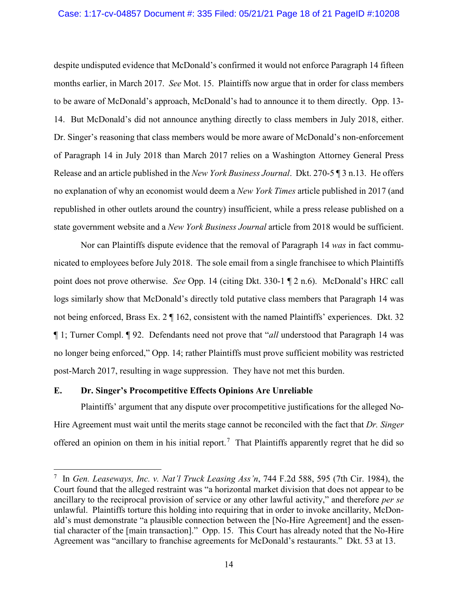despite undisputed evidence that McDonald's confirmed it would not enforce Paragraph 14 fifteen months earlier, in March 2017. *See* Mot. 15. Plaintiffs now argue that in order for class members to be aware of McDonald's approach, McDonald's had to announce it to them directly. Opp. 13- 14. But McDonald's did not announce anything directly to class members in July 2018, either. Dr. Singer's reasoning that class members would be more aware of McDonald's non-enforcement of Paragraph 14 in July 2018 than March 2017 relies on a Washington Attorney General Press Release and an article published in the *New York Business Journal*. Dkt. 270-5 ¶ 3 n.13. He offers no explanation of why an economist would deem a *New York Times* article published in 2017 (and republished in other outlets around the country) insufficient, while a press release published on a state government website and a *New York Business Journal* article from 2018 would be sufficient.

Nor can Plaintiffs dispute evidence that the removal of Paragraph 14 *was* in fact communicated to employees before July 2018. The sole email from a single franchisee to which Plaintiffs point does not prove otherwise. *See* Opp. 14 (citing Dkt. 330-1 ¶ 2 n.6). McDonald's HRC call logs similarly show that McDonald's directly told putative class members that Paragraph 14 was not being enforced, Brass Ex. 2 ¶ 162, consistent with the named Plaintiffs' experiences. Dkt. 32 ¶ 1; Turner Compl. ¶ 92. Defendants need not prove that "*all* understood that Paragraph 14 was no longer being enforced," Opp. 14; rather Plaintiffs must prove sufficient mobility was restricted post-March 2017, resulting in wage suppression. They have not met this burden.

## **E. Dr. Singer's Procompetitive Effects Opinions Are Unreliable**

 $\overline{a}$ 

Plaintiffs' argument that any dispute over procompetitive justifications for the alleged No-Hire Agreement must wait until the merits stage cannot be reconciled with the fact that *Dr. Singer* offered an opinion on them in his initial report.<sup>7</sup> That Plaintiffs apparently regret that he did so

<sup>7</sup> In *Gen. Leaseways, Inc. v. Nat'l Truck Leasing Ass'n*, 744 F.2d 588, 595 (7th Cir. 1984), the Court found that the alleged restraint was "a horizontal market division that does not appear to be ancillary to the reciprocal provision of service or any other lawful activity," and therefore *per se* unlawful. Plaintiffs torture this holding into requiring that in order to invoke ancillarity, McDonald's must demonstrate "a plausible connection between the [No-Hire Agreement] and the essential character of the [main transaction]." Opp. 15. This Court has already noted that the No-Hire Agreement was "ancillary to franchise agreements for McDonald's restaurants." Dkt. 53 at 13.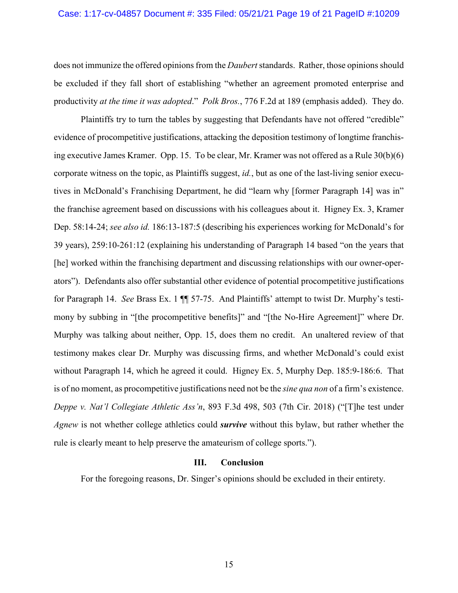does not immunize the offered opinions from the *Daubert* standards. Rather, those opinions should be excluded if they fall short of establishing "whether an agreement promoted enterprise and productivity *at the time it was adopted*." *Polk Bros.*, 776 F.2d at 189 (emphasis added). They do.

Plaintiffs try to turn the tables by suggesting that Defendants have not offered "credible" evidence of procompetitive justifications, attacking the deposition testimony of longtime franchising executive James Kramer. Opp. 15. To be clear, Mr. Kramer was not offered as a Rule 30(b)(6) corporate witness on the topic, as Plaintiffs suggest, *id.*, but as one of the last-living senior executives in McDonald's Franchising Department, he did "learn why [former Paragraph 14] was in" the franchise agreement based on discussions with his colleagues about it. Higney Ex. 3, Kramer Dep. 58:14-24; *see also id.* 186:13-187:5 (describing his experiences working for McDonald's for 39 years), 259:10-261:12 (explaining his understanding of Paragraph 14 based "on the years that [he] worked within the franchising department and discussing relationships with our owner-operators"). Defendants also offer substantial other evidence of potential procompetitive justifications for Paragraph 14. *See* Brass Ex. 1 ¶¶ 57-75. And Plaintiffs' attempt to twist Dr. Murphy's testimony by subbing in "[the procompetitive benefits]" and "[the No-Hire Agreement]" where Dr. Murphy was talking about neither, Opp. 15, does them no credit. An unaltered review of that testimony makes clear Dr. Murphy was discussing firms, and whether McDonald's could exist without Paragraph 14, which he agreed it could. Higney Ex. 5, Murphy Dep. 185:9-186:6. That is of no moment, as procompetitive justifications need not be the *sine qua non* of a firm's existence. *Deppe v. Nat'l Collegiate Athletic Ass'n*, 893 F.3d 498, 503 (7th Cir. 2018) ("[T]he test under *Agnew* is not whether college athletics could *survive* without this bylaw, but rather whether the rule is clearly meant to help preserve the amateurism of college sports.").

#### **III. Conclusion**

For the foregoing reasons, Dr. Singer's opinions should be excluded in their entirety.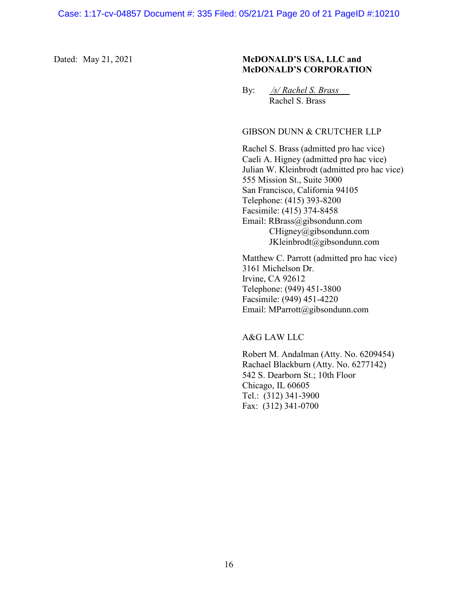## Dated: May 21, 2021 **McDONALD'S USA, LLC and McDONALD'S CORPORATION**

By: */s/ Rachel S. Brass* Rachel S. Brass

## GIBSON DUNN & CRUTCHER LLP

Rachel S. Brass (admitted pro hac vice) Caeli A. Higney (admitted pro hac vice) Julian W. Kleinbrodt (admitted pro hac vice) 555 Mission St., Suite 3000 San Francisco, California 94105 Telephone: (415) 393-8200 Facsimile: (415) 374-8458 Email: RBrass@gibsondunn.com CHigney@gibsondunn.com JKleinbrodt@gibsondunn.com

Matthew C. Parrott (admitted pro hac vice) 3161 Michelson Dr. Irvine, CA 92612 Telephone: (949) 451-3800 Facsimile: (949) 451-4220 Email: MParrott@gibsondunn.com

A&G LAW LLC

Robert M. Andalman (Atty. No. 6209454) Rachael Blackburn (Atty. No. 6277142) 542 S. Dearborn St.; 10th Floor Chicago, IL 60605 Tel.: (312) 341-3900 Fax: (312) 341-0700